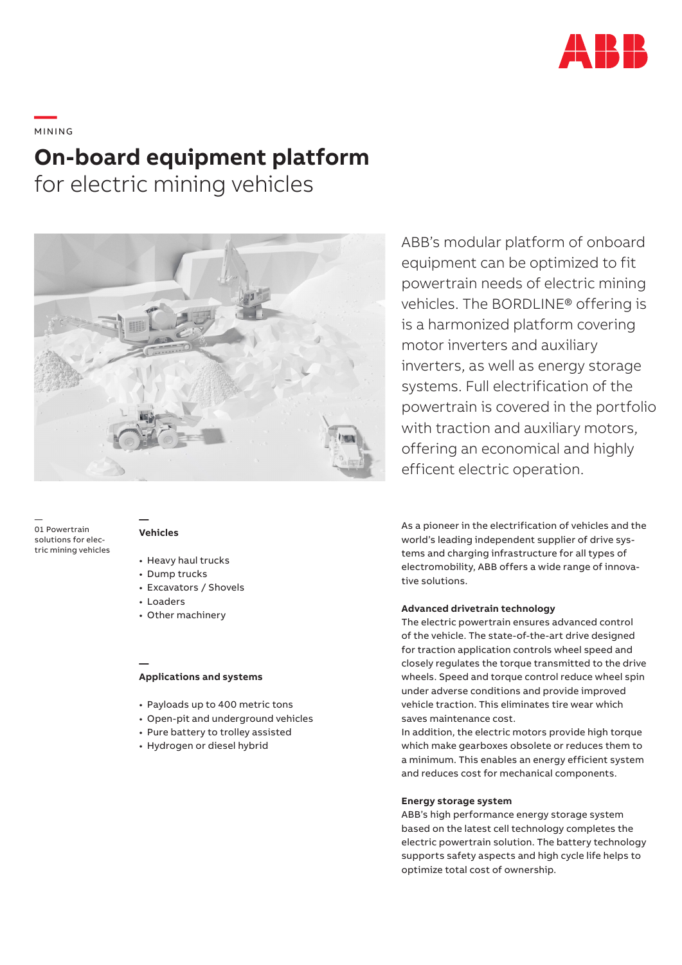

# **—**  MINING **On-board equipment platform** for electric mining vehicles



— 01 Powertrain solutions for electric mining vehicles

#### **— Vehicles**

- Heavy haul trucks
- Dump trucks
- Excavators / Shovels
- Loaders

**—**

• Other machinery

### **Applications and systems**

- Payloads up to 400 metric tons
- Open-pit and underground vehicles
- Pure battery to trolley assisted
- Hydrogen or diesel hybrid

ABB's modular platform of onboard equipment can be optimized to fit powertrain needs of electric mining vehicles. The BORDLINE® offering is is a harmonized platform covering motor inverters and auxiliary inverters, as well as energy storage systems. Full electrification of the powertrain is covered in the portfolio with traction and auxiliary motors, offering an economical and highly efficent electric operation.

As a pioneer in the electrification of vehicles and the world's leading independent supplier of drive systems and charging infrastructure for all types of electromobility, ABB offers a wide range of innovative solutions.

#### **Advanced drivetrain technology**

The electric powertrain ensures advanced control of the vehicle. The state-of-the-art drive designed for traction application controls wheel speed and closely regulates the torque transmitted to the drive wheels. Speed and torque control reduce wheel spin under adverse conditions and provide improved vehicle traction. This eliminates tire wear which saves maintenance cost.

In addition, the electric motors provide high torque which make gearboxes obsolete or reduces them to a minimum. This enables an energy efficient system and reduces cost for mechanical components.

#### **Energy storage system**

ABB's high performance energy storage system based on the latest cell technology completes the electric powertrain solution. The battery technology supports safety aspects and high cycle life helps to optimize total cost of ownership.